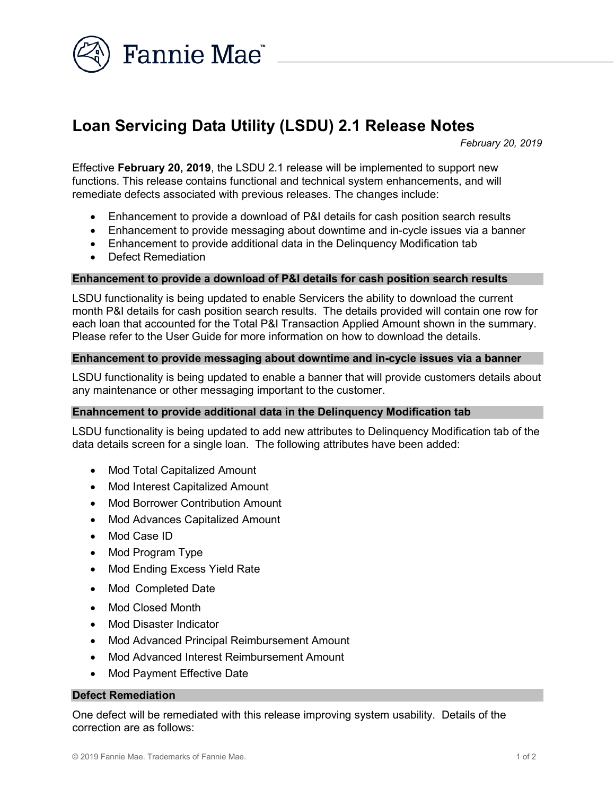

# Loan Servicing Data Utility (LSDU) 2.1 Release Notes

February 20, 2019

Effective February 20, 2019, the LSDU 2.1 release will be implemented to support new functions. This release contains functional and technical system enhancements, and will remediate defects associated with previous releases. The changes include:

- Enhancement to provide a download of P&I details for cash position search results
- Enhancement to provide messaging about downtime and in-cycle issues via a banner
- Enhancement to provide additional data in the Delinquency Modification tab
- Defect Remediation

### Enhancement to provide a download of P&I details for cash position search results

LSDU functionality is being updated to enable Servicers the ability to download the current month P&I details for cash position search results. The details provided will contain one row for each loan that accounted for the Total P&I Transaction Applied Amount shown in the summary. Please refer to the User Guide for more information on how to download the details.

### Enhancement to provide messaging about downtime and in-cycle issues via a banner

LSDU functionality is being updated to enable a banner that will provide customers details about any maintenance or other messaging important to the customer.

#### Enahncement to provide additional data in the Delinquency Modification tab

LSDU functionality is being updated to add new attributes to Delinquency Modification tab of the data details screen for a single loan. The following attributes have been added:

- Mod Total Capitalized Amount
- Mod Interest Capitalized Amount
- Mod Borrower Contribution Amount
- Mod Advances Capitalized Amount
- Mod Case ID
- Mod Program Type
- Mod Ending Excess Yield Rate
- Mod Completed Date
- Mod Closed Month
- Mod Disaster Indicator
- Mod Advanced Principal Reimbursement Amount
- Mod Advanced Interest Reimbursement Amount
- Mod Payment Effective Date

#### Defect Remediation

One defect will be remediated with this release improving system usability. Details of the correction are as follows: